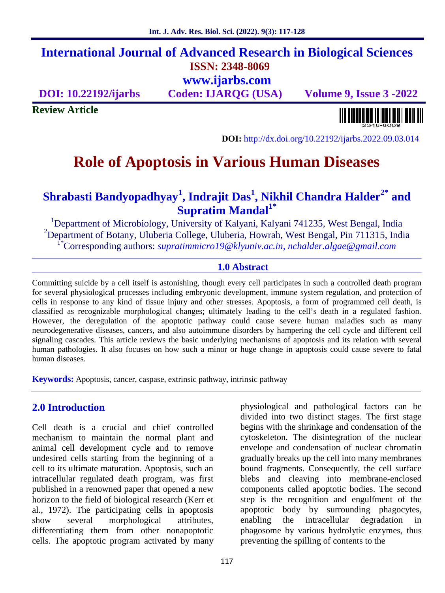# **International Journal of Advanced Research in Biological Sciences ISSN: 2348-8069**

**www.ijarbs.com**

**DOI: 10.22192/ijarbs Coden: IJARQG (USA) Volume 9, Issue 3 -2022**

**Review Article**



**DOI:** http://dx.doi.org/10.22192/ijarbs.2022.09.03.014

# **Role of Apoptosis in Various Human Diseases**

# **Shrabasti Bandyopadhyay<sup>1</sup> , Indrajit Das<sup>1</sup> , Nikhil Chandra Halder2\* and Supratim Mandal1\***

<sup>1</sup>Department of Microbiology, University of Kalyani, Kalyani 741235, West Bengal, India <sup>2</sup>Department of Botany, Uluberia College, Uluberia, Howrah, West Bengal, Pin 711315, India 1\*Corresponding authors: *supratimmicro19@klyuniv.ac.in, nchalder.algae@gmail.com*

#### **1.0 Abstract**

Committing suicide by a cell itself is astonishing, though every cell participates in such a controlled death program for several physiological processes including embryonic development, immune system regulation, and protection of cells in response to any kind of tissue injury and other stresses. Apoptosis, a form of programmed cell death, is classified as recognizable morphological changes; ultimately leading to the cell's death in a regulated fashion. However, the deregulation of the apoptotic pathway could cause severe human maladies such as many neurodegenerative diseases, cancers, and also autoimmune disorders by hampering the cell cycle and different cell signaling cascades. This article reviews the basic underlying mechanisms of apoptosis and its relation with several human pathologies. It also focuses on how such a minor or huge change in apoptosis could cause severe to fatal human diseases.

**Keywords:** Apoptosis, cancer, caspase, extrinsic pathway, intrinsic pathway

# **2.0 Introduction**

Cell death is a crucial and chief controlled mechanism to maintain the normal plant and animal cell development cycle and to remove undesired cells starting from the beginning of a cell to its ultimate maturation. Apoptosis, such an intracellular regulated death program, was first published in a renowned paper that opened a new horizon to the field of biological research (Kerr et al., 1972). The participating cells in apoptosis show several morphological attributes, differentiating them from other nonapoptotic cells. The apoptotic program activated by many

physiological and pathological factors can be divided into two distinct stages. The first stage begins with the shrinkage and condensation of the cytoskeleton. The disintegration of the nuclear envelope and condensation of nuclear chromatin gradually breaks up the cell into many membranes bound fragments. Consequently, the cell surface blebs and cleaving into membrane-enclosed components called apoptotic bodies. The second step is the recognition and engulfment of the apoptotic body by surrounding phagocytes, enabling the intracellular degradation phagosome by various hydrolytic enzymes, thus preventing the spilling of contents to the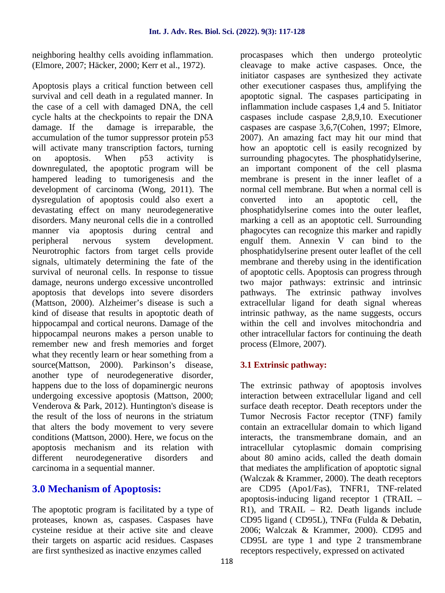neighboring healthy cells avoiding inflammation. (Elmore, 2007; Häcker, 2000; Kerr et al., 1972).

Apoptosis plays a critical function between cell survival and cell death in a regulated manner. In the case of a cell with damaged DNA, the cell cycle halts at the checkpoints to repair the DNA damage. If the damage is irreparable, the accumulation of the tumor suppressor protein p53 will activate many transcription factors, turning on apoptosis. When p53 activity is downregulated, the apoptotic program will be hampered leading to tumorigenesis and the development of carcinoma (Wong, 2011). The dysregulation of apoptosis could also exert a devastating effect on many neurodegenerative disorders. Many neuronal cells die in a controlled manner via apoptosis during central and peripheral nervous system development. Neurotrophic factors from target cells provide signals, ultimately determining the fate of the survival of neuronal cells. In response to tissue damage, neurons undergo excessive uncontrolled apoptosis that develops into severe disorders (Mattson, 2000). Alzheimer's disease is such a kind of disease that results in apoptotic death of hippocampal and cortical neurons. Damage of the hippocampal neurons makes a person unable to remember new and fresh memories and forget what they recently learn or hear something from a source(Mattson, 2000). Parkinson's disease, another type of neurodegenerative disorder, happens due to the loss of dopaminergic neurons undergoing excessive apoptosis (Mattson, 2000; Venderova & Park, 2012). Huntington's disease is the result of the loss of neurons in the striatum that alters the body movement to very severe conditions (Mattson, 2000). Here, we focus on the apoptosis mechanism and its relation with different neurodegenerative disorders and carcinoma in a sequential manner.

# **3.0 Mechanism of Apoptosis:**

The apoptotic program is facilitated by a type of proteases, known as, caspases. Caspases have cysteine residue at their active site and cleave their targets on aspartic acid residues. Caspases are first synthesized as inactive enzymes called

procaspases which then undergo proteolytic cleavage to make active caspases. Once, the initiator caspases are synthesized they activate other executioner caspases thus, amplifying the apoptotic signal. The caspases participating in inflammation include caspases 1,4 and 5. Initiator caspases include caspase 2,8,9,10. Executioner caspases are caspase 3,6,7(Cohen, 1997; Elmore, 2007). An amazing fact may hit our mind that how an apoptotic cell is easily recognized by surrounding phagocytes. The phosphatidylserine, an important component of the cell plasma membrane is present in the inner leaflet of a normal cell membrane. But when a normal cell is into an apoptotic cell, the phosphatidylserine comes into the outer leaflet, marking a cell as an apoptotic cell. Surrounding phagocytes can recognize this marker and rapidly engulf them. Annexin V can bind to the phosphatidylserine present outer leaflet of the cell membrane and thereby using in the identification of apoptotic cells. Apoptosis can progress through two major pathways: extrinsic and intrinsic pathways. The extrinsic pathway involves extracellular ligand for death signal whereas intrinsic pathway, as the name suggests, occurs within the cell and involves mitochondria and other intracellular factors for continuing the death process (Elmore, 2007).

## **3.1 Extrinsic pathway:**

The extrinsic pathway of apoptosis involves interaction between extracellular ligand and cell surface death receptor. Death receptors under the Tumor Necrosis Factor receptor (TNF) family contain an extracellular domain to which ligand interacts, the transmembrane domain, and an intracellular cytoplasmic domain comprising about 80 amino acids, called the death domain that mediates the amplification of apoptotic signal (Walczak & Krammer, 2000). The death receptors are CD95 (Apo1/Fas), TNFR1, TNF-related apoptosis-inducing ligand receptor 1 (TRAIL –  $R1$ ), and TRAIL – R2. Death ligands include CD95 ligand ( CD95L), TNF (Fulda & Debatin, 2006; Walczak & Krammer, 2000). CD95 and CD95L are type 1 and type 2 transmembrane receptors respectively, expressed on activated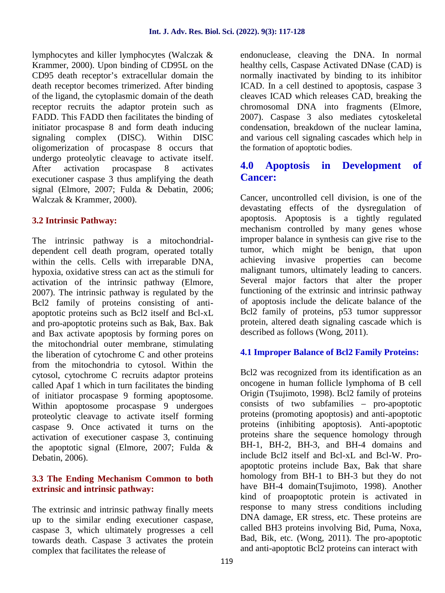lymphocytes and killer lymphocytes (Walczak & Krammer, 2000). Upon binding of CD95L on the CD95 death receptor's extracellular domain the death receptor becomes trimerized. After binding of the ligand, the cytoplasmic domain of the death receptor recruits the adaptor protein such as FADD. This FADD then facilitates the binding of initiator procaspase 8 and form death inducing signaling complex (DISC). Within DISC oligomerization of procaspase 8 occurs that undergo proteolytic cleavage to activate itself. After activation procaspase 8 activates executioner caspase 3 thus amplifying the death signal (Elmore, 2007; Fulda & Debatin, 2006; Walczak & Krammer, 2000).

#### **3.2 Intrinsic Pathway:**

The intrinsic pathway is a mitochondrial dependent cell death program, operated totally within the cells. Cells with irreparable DNA, hypoxia, oxidative stress can act as the stimuli for activation of the intrinsic pathway (Elmore, 2007). The intrinsic pathway is regulated by the Bcl2 family of proteins consisting of anti apoptotic proteins such as Bcl2 itself and Bcl-xL and pro-apoptotic proteins such as Bak, Bax. Bak and Bax activate apoptosis by forming pores on the mitochondrial outer membrane, stimulating the liberation of cytochrome C and other proteins from the mitochondria to cytosol. Within the cytosol, cytochrome C recruits adaptor proteins called Apaf 1 which in turn facilitates the binding of initiator procaspase 9 forming apoptosome. Within apoptosome procaspase 9 undergoes proteolytic cleavage to activate itself forming caspase 9. Once activated it turns on the activation of executioner caspase 3, continuing the apoptotic signal (Elmore, 2007; Fulda & Debatin, 2006).

#### **3.3 The Ending Mechanism Common to both extrinsic and intrinsic pathway:**

The extrinsic and intrinsic pathway finally meets up to the similar ending executioner caspase, caspase 3, which ultimately progresses a cell towards death. Caspase 3 activates the protein complex that facilitates the release of

endonuclease, cleaving the DNA. In normal healthy cells, Caspase Activated DNase (CAD) is normally inactivated by binding to its inhibitor ICAD. In a cell destined to apoptosis, caspase 3 cleaves ICAD which releases CAD, breaking the chromosomal DNA into fragments (Elmore, 2007). Caspase 3 also mediates cytoskeletal condensation, breakdown of the nuclear lamina, and various cell signaling cascades which help in the formation of apoptotic bodies.

# **4.0 Apoptosis in Development of Cancer:**

Cancer, uncontrolled cell division, is one of the devastating effects of the dysregulation of apoptosis. Apoptosis is a tightly regulated mechanism controlled by many genes whose improper balance in synthesis can give rise to the tumor, which might be benign, that upon achieving invasive properties can become malignant tumors, ultimately leading to cancers. Several major factors that alter the proper functioning of the extrinsic and intrinsic pathway of apoptosis include the delicate balance of the Bcl2 family of proteins, p53 tumor suppressor protein, altered death signaling cascade which is described as follows (Wong, 2011).

## **4.1 Improper Balance of Bcl2 Family Proteins:**

Bcl2 was recognized from its identification as an oncogene in human follicle lymphoma of B cell Origin (Tsujimoto, 1998). Bcl2 family of proteins consists of two subfamilies – pro-apoptotic proteins (promoting apoptosis) and anti-apoptotic proteins (inhibiting apoptosis). Anti-apoptotic proteins share the sequence homology through BH-1, BH-2, BH-3, and BH-4 domains and include Bcl2 itself and Bcl-xL and Bcl-W. Pro apoptotic proteins include Bax, Bak that share homology from BH-1 to BH-3 but they do not have BH-4 domain(Tsujimoto, 1998). Another kind of proapoptotic protein is activated in response to many stress conditions including DNA damage, ER stress, etc. These proteins are called BH3 proteins involving Bid, Puma, Noxa, Bad, Bik, etc. (Wong, 2011). The pro-apoptotic and anti-apoptotic Bcl2 proteins can interact with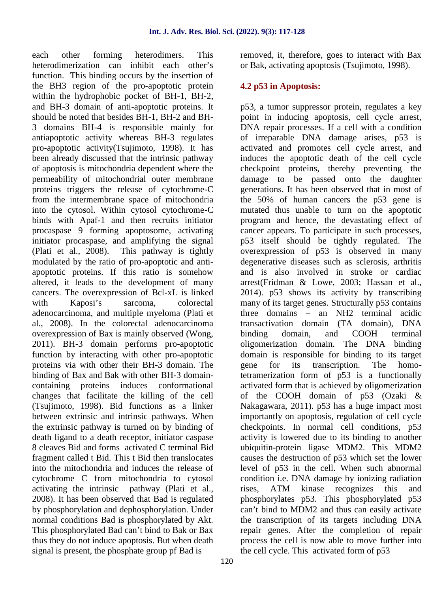each other forming heterodimers. This heterodimerization can inhibit each other's function. This binding occurs by the insertion of the BH3 region of the pro-apoptotic protein within the hydrophobic pocket of BH-1, BH-2, and BH-3 domain of anti-apoptotic proteins. It should be noted that besides BH-1, BH-2 and BH- 3 domains BH-4 is responsible mainly for antiapoptotic activity whereas BH-3 regulates pro-apoptotic activity(Tsujimoto, 1998). It has been already discussed that the intrinsic pathway of apoptosis is mitochondria dependent where the permeability of mitochondrial outer membrane proteins triggers the release of cytochrome-C from the intermembrane space of mitochondria into the cytosol. Within cytosol cytochrome-C binds with Apaf-1 and then recruits initiator procaspase 9 forming apoptosome, activating initiator procaspase, and amplifying the signal (Plati et al., 2008). This pathway is tightly modulated by the ratio of pro-apoptotic and anti apoptotic proteins. If this ratio is somehow altered, it leads to the development of many cancers. The overexpression of Bcl-xL is linked with Kaposi's sarcoma, colorectal adenocarcinoma, and multiple myeloma (Plati et al., 2008). In the colorectal adenocarcinoma overexpression of Bax is mainly observed (Wong, 2011). BH-3 domain performs pro-apoptotic function by interacting with other pro-apoptotic proteins via with other their BH-3 domain. The binding of Bax and Bak with other BH-3 domain containing proteins induces conformational changes that facilitate the killing of the cell (Tsujimoto, 1998). Bid functions as a linker between extrinsic and intrinsic pathways. When the extrinsic pathway is turned on by binding of death ligand to a death receptor, initiator caspase 8 cleaves Bid and forms activated C terminal Bid fragment called t Bid. This t Bid then translocates into the mitochondria and induces the release of cytochrome C from mitochondria to cytosol activating the intrinsic pathway (Plati et al., 2008). It has been observed that Bad is regulated by phosphorylation and dephosphorylation. Under normal conditions Bad is phosphorylated by Akt. This phosphorylated Bad can't bind to Bak or Bax thus they do not induce apoptosis. But when death signal is present, the phosphate group pf Bad is

removed, it, therefore, goes to interact with Bax or Bak, activating apoptosis (Tsujimoto, 1998).

## **4.2 p53 in Apoptosis:**

p53, a tumor suppressor protein, regulates a key point in inducing apoptosis, cell cycle arrest, DNA repair processes. If a cell with a condition of irreparable DNA damage arises, p53 is activated and promotes cell cycle arrest, and induces the apoptotic death of the cell cycle checkpoint proteins, thereby preventing the damage to be passed onto the daughter generations. It has been observed that in most of the 50% of human cancers the p53 gene is mutated thus unable to turn on the apoptotic program and hence, the devastating effect of cancer appears. To participate in such processes, p53 itself should be tightly regulated. The overexpression of p53 is observed in many degenerative diseases such as sclerosis, arthritis and is also involved in stroke or cardiac arrest(Fridman & Lowe, 2003; Hassan et al., 2014). p53 shows its activity by transcribing many of its target genes. Structurally p53 contains three domains – an NH2 terminal acidic transactivation domain (TA domain), DNA binding domain, and COOH terminal oligomerization domain. The DNA binding domain is responsible for binding to its target for its transcription. The homotetramerization form of p53 is a functionally activated form that is achieved by oligomerization of the COOH domain of p53 (Ozaki & Nakagawara, 2011). p53 has a huge impact most importantly on apoptosis, regulation of cell cycle checkpoints. In normal cell conditions, p53 activity is lowered due to its binding to another ubiquitin-protein ligase MDM2. This MDM2 causes the destruction of p53 which set the lower level of p53 in the cell. When such abnormal condition i.e. DNA damage by ionizing radiation rises, ATM kinase recognizes this and phosphorylates p53. This phosphorylated p53 can't bind to MDM2 and thus can easily activate the transcription of its targets including DNA repair genes. After the completion of repair process the cell is now able to move further into the cell cycle. This activated form of p53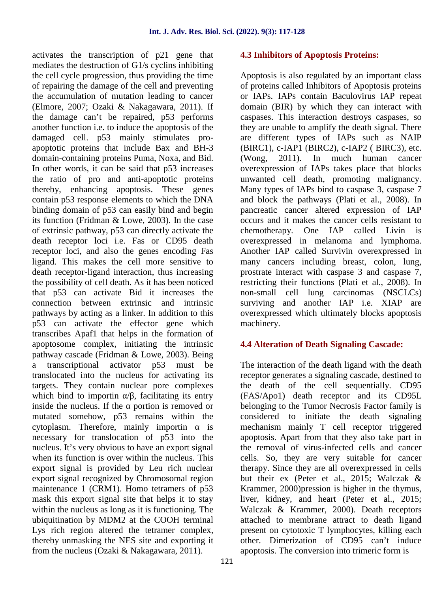activates the transcription of p21 gene that mediates the destruction of G1/s cyclins inhibiting the cell cycle progression, thus providing the time of repairing the damage of the cell and preventing the accumulation of mutation leading to cancer (Elmore, 2007; Ozaki & Nakagawara, 2011). If the damage can't be repaired, p53 performs another function i.e. to induce the apoptosis of the damaged cell. p53 mainly stimulates pro apoptotic proteins that include Bax and BH-3 domain-containing proteins Puma, Noxa, and Bid. In other words, it can be said that p53 increases the ratio of pro and anti-apoptotic proteins thereby, enhancing apoptosis. These genes contain p53 response elements to which the DNA binding domain of p53 can easily bind and begin its function (Fridman & Lowe, 2003). In the case of extrinsic pathway, p53 can directly activate the death receptor loci i.e. Fas or CD95 death receptor loci, and also the genes encoding Fas ligand. This makes the cell more sensitive to death receptor-ligand interaction, thus increasing the possibility of cell death. As it has been noticed that p53 can activate Bid it increases the connection between extrinsic and intrinsic pathways by acting as a linker. In addition to this p53 can activate the effector gene which transcribes Apaf1 that helps in the formation of apoptosome complex, initiating the intrinsic pathway cascade (Fridman & Lowe, 2003). Being a transcriptional activator p53 must be translocated into the nucleus for activating its targets. They contain nuclear pore complexes which bind to importin  $\ell$ , facilitating its entry inside the nucleus. If the portion is removed or mutated somehow, p53 remains within the cytoplasm. Therefore, mainly importin is necessary for translocation of p53 into the nucleus. It's very obvious to have an export signal when its function is over within the nucleus. This export signal is provided by Leu rich nuclear export signal recognized by Chromosomal region maintenance 1 (CRM1). Homo tetramers of p53 mask this export signal site that helps it to stay within the nucleus as long as it is functioning. The ubiquitination by MDM2 at the COOH terminal Lys rich region altered the tetramer complex, thereby unmasking the NES site and exporting it from the nucleus (Ozaki & Nakagawara, 2011).

#### **4.3 Inhibitors of Apoptosis Proteins:**

Apoptosis is also regulated by an important class of proteins called Inhibitors of Apoptosis proteins or IAPs. IAPs contain Baculovirus IAP repeat domain (BIR) by which they can interact with caspases. This interaction destroys caspases, so they are unable to amplify the death signal. There are different types of IAPs such as NAIP (BIRC1), c-IAP1 (BIRC2), c-IAP2 ( BIRC3), etc. (Wong, 2011). In much human cancer overexpression of IAPs takes place that blocks unwanted cell death, promoting malignancy. Many types of IAPs bind to caspase 3, caspase 7 and block the pathways (Plati et al., 2008). In pancreatic cancer altered expression of IAP occurs and it makes the cancer cells resistant to chemotherapy. One IAP called Livin is overexpressed in melanoma and lymphoma. Another IAP called Survivin overexpressed in many cancers including breast, colon, lung, prostrate interact with caspase 3 and caspase 7, restricting their functions (Plati et al., 2008). In non-small cell lung carcinomas (NSCLCs) surviving and another IAP i.e. XIAP are overexpressed which ultimately blocks apoptosis machinery.

#### **4.4 Alteration of Death Signaling Cascade:**

The interaction of the death ligand with the death receptor generates a signaling cascade, destined to the death of the cell sequentially. CD95 (FAS/Apo1) death receptor and its CD95L belonging to the Tumor Necrosis Factor family is considered to initiate the death signaling mechanism mainly T cell receptor triggered apoptosis. Apart from that they also take part in the removal of virus-infected cells and cancer cells. So, they are very suitable for cancer therapy. Since they are all overexpressed in cells but their ex (Peter et al., 2015; Walczak & Krammer, 2000)pression is higher in the thymus, liver, kidney, and heart (Peter et al., 2015; Walczak & Krammer, 2000). Death receptors attached to membrane attract to death ligand present on cytotoxic T lymphocytes, killing each other. Dimerization of CD95 can't induce apoptosis. The conversion into trimeric form is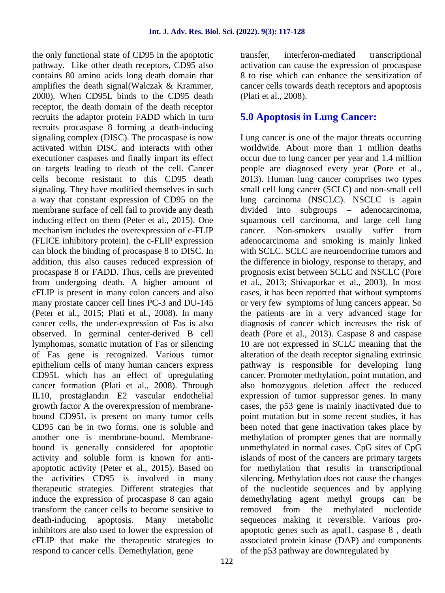the only functional state of CD95 in the apoptotic pathway. Like other death receptors, CD95 also contains 80 amino acids long death domain that amplifies the death signal(Walczak & Krammer, 2000). When CD95L binds to the CD95 death receptor, the death domain of the death receptor recruits the adaptor protein FADD which in turn recruits procaspase 8 forming a death-inducing signaling complex (DISC). The procaspase is now activated within DISC and interacts with other executioner caspases and finally impart its effect on targets leading to death of the cell. Cancer cells become resistant to this CD95 death signaling. They have modified themselves in such a way that constant expression of CD95 on the membrane surface of cell fail to provide any death inducing effect on them (Peter et al., 2015). One mechanism includes the overexpression of c-FLIP (FLICE inhibitory protein). the c-FLIP expression can block the binding of procaspase 8 to DISC. In addition, this also causes reduced expression of procaspase 8 or FADD. Thus, cells are prevented from undergoing death. A higher amount of cFLIP is present in many colon cancers and also many prostate cancer cell lines PC-3 and DU-145 (Peter et al., 2015; Plati et al., 2008). In many cancer cells, the under-expression of Fas is also observed. In germinal center-derived B cell lymphomas, somatic mutation of Fas or silencing of Fas gene is recognized. Various tumor epithelium cells of many human cancers express CD95L which has an effect of upregulating cancer formation (Plati et al., 2008). Through IL10, prostaglandin E2 vascular endothelial growth factor A the overexpression of membrane bound CD95L is present on many tumor cells CD95 can be in two forms. one is soluble and another one is membrane-bound. Membrane bound is generally considered for apoptotic activity and soluble form is known for anti apoptotic activity (Peter et al., 2015). Based on the activities CD95 is involved in many therapeutic strategies. Different strategies that induce the expression of procaspase 8 can again transform the cancer cells to become sensitive to death-inducing apoptosis. Many metabolic inhibitors are also used to lower the expression of cFLIP that make the therapeutic strategies to respond to cancer cells. Demethylation, gene

interferon-mediated transcriptional activation can cause the expression of procaspase 8 to rise which can enhance the sensitization of cancer cells towards death receptors and apoptosis (Plati et al., 2008).

# **5.0 Apoptosis in Lung Cancer:**

Lung cancer is one of the major threats occurring worldwide. About more than 1 million deaths occur due to lung cancer per year and 1.4 million people are diagnosed every year (Pore et al., 2013). Human lung cancer comprises two types small cell lung cancer (SCLC) and non-small cell lung carcinoma (NSCLC). NSCLC is again divided into subgroups – adenocarcinoma, squamous cell carcinoma, and large cell lung cancer. Non-smokers usually suffer from adenocarcinoma and smoking is mainly linked with SCLC. SCLC are neuroendocrine tumors and the difference in biology, response to therapy, and prognosis exist between SCLC and NSCLC (Pore et al., 2013; Shivapurkar et al., 2003). In most cases, it has been reported that without symptoms or very few symptoms of lung cancers appear. So the patients are in a very advanced stage for diagnosis of cancer which increases the risk of death (Pore et al., 2013). Caspase 8 and caspase 10 are not expressed in SCLC meaning that the alteration of the death receptor signaling extrinsic pathway is responsible for developing lung cancer. Promoter methylation, point mutation, and also homozygous deletion affect the reduced expression of tumor suppressor genes. In many cases, the p53 gene is mainly inactivated due to point mutation but in some recent studies, it has been noted that gene inactivation takes place by methylation of prompter genes that are normally unmethylated in normal cases. CpG sites of CpG islands of most of the cancers are primary targets for methylation that results in transcriptional silencing. Methylation does not cause the changes of the nucleotide sequences and by applying demethylating agent methyl groups can be methylated nucleotide sequences making it reversible. Various pro apoptotic genes such as apaf1, caspase 8 , death associated protein kinase (DAP) and components of the p53 pathway are downregulated by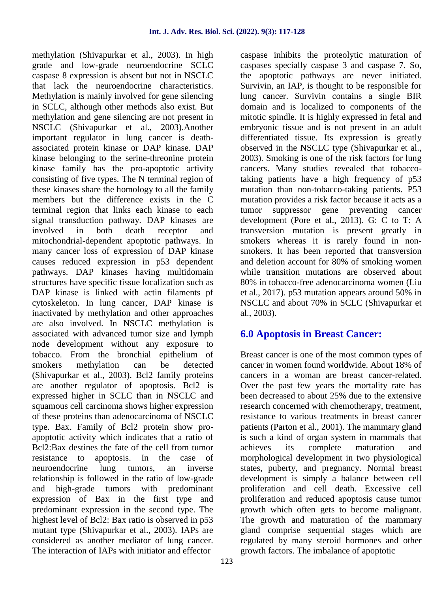methylation (Shivapurkar et al., 2003). In high grade and low-grade neuroendocrine SCLC caspase 8 expression is absent but not in NSCLC that lack the neuroendocrine characteristics. Methylation is mainly involved for gene silencing in SCLC, although other methods also exist. But methylation and gene silencing are not present in NSCLC (Shivapurkar et al., 2003).Another important regulator in lung cancer is death associated protein kinase or DAP kinase. DAP kinase belonging to the serine-threonine protein kinase family has the pro-apoptotic activity consisting of five types. The N terminal region of these kinases share the homology to all the family members but the difference exists in the C terminal region that links each kinase to each signal transduction pathway. DAP kinases are involved in both death receptor and mitochondrial-dependent apoptotic pathways. In many cancer loss of expression of DAP kinase causes reduced expression in p53 dependent pathways. DAP kinases having multidomain structures have specific tissue localization such as DAP kinase is linked with actin filaments pf cytoskeleton. In lung cancer, DAP kinase is inactivated by methylation and other approaches are also involved. In NSCLC methylation is associated with advanced tumor size and lymph node development without any exposure to tobacco. From the bronchial epithelium of smokers methylation can be detected (Shivapurkar et al., 2003). Bcl2 family proteins are another regulator of apoptosis. Bcl2 is expressed higher in SCLC than in NSCLC and squamous cell carcinoma shows higher expression of these proteins than adenocarcinoma of NSCLC type. Bax. Family of Bcl2 protein show pro apoptotic activity which indicates that a ratio of Bcl2:Bax destines the fate of the cell from tumor resistance to apoptosis. In the case of neuroendocrine lung tumors, an inverse relationship is followed in the ratio of low-grade and high-grade tumors with predominant expression of Bax in the first type and predominant expression in the second type. The highest level of Bcl2: Bax ratio is observed in p53 mutant type (Shivapurkar et al., 2003). IAPs are considered as another mediator of lung cancer. The interaction of IAPs with initiator and effector

caspase inhibits the proteolytic maturation of caspases specially caspase 3 and caspase 7. So, the apoptotic pathways are never initiated. Survivin, an IAP, is thought to be responsible for lung cancer. Survivin contains a single BIR domain and is localized to components of the mitotic spindle. It is highly expressed in fetal and embryonic tissue and is not present in an adult differentiated tissue. Its expression is greatly observed in the NSCLC type (Shivapurkar et al., 2003). Smoking is one of the risk factors for lung cancers. Many studies revealed that tobaccotaking patients have a high frequency of p53 mutation than non-tobacco-taking patients. P53 mutation provides a risk factor because it acts as a suppressor gene preventing cancer development (Pore et al., 2013). G: C to T: A transversion mutation is present greatly in smokers whereas it is rarely found in non smokers. It has been reported that transversion and deletion account for 80% of smoking women while transition mutations are observed about 80% in tobacco-free adenocarcinoma women (Liu et al., 2017). p53 mutation appears around 50% in NSCLC and about 70% in SCLC (Shivapurkar et al., 2003).

# **6.0 Apoptosis in Breast Cancer:**

Breast cancer is one of the most common types of cancer in women found worldwide. About 18% of cancers in a woman are breast cancer-related. Over the past few years the mortality rate has been decreased to about 25% due to the extensive research concerned with chemotherapy, treatment, resistance to various treatments in breast cancer patients (Parton et al., 2001). The mammary gland is such a kind of organ system in mammals that achieves its complete maturation and morphological development in two physiological states, puberty, and pregnancy. Normal breast development is simply a balance between cell proliferation and cell death. Excessive cell proliferation and reduced apoptosis cause tumor growth which often gets to become malignant. The growth and maturation of the mammary gland comprise sequential stages which are regulated by many steroid hormones and other growth factors. The imbalance of apoptotic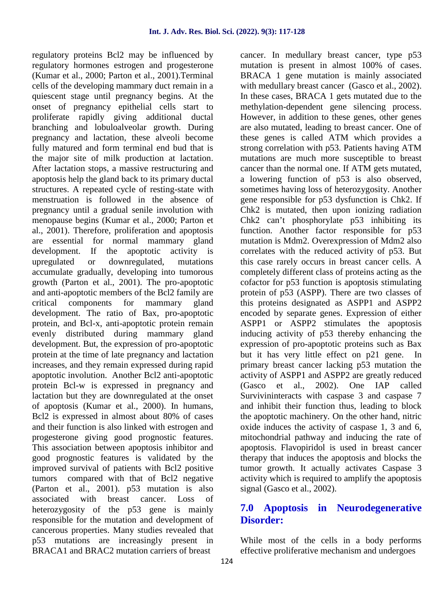regulatory proteins Bcl2 may be influenced by regulatory hormones estrogen and progesterone (Kumar et al., 2000; Parton et al., 2001).Terminal cells of the developing mammary duct remain in a quiescent stage until pregnancy begins. At the onset of pregnancy epithelial cells start to proliferate rapidly giving additional ductal branching and lobuloalveolar growth. During pregnancy and lactation, these alveoli become fully matured and form terminal end bud that is the major site of milk production at lactation. After lactation stops, a massive restructuring and apoptosis help the gland back to its primary ductal structures. A repeated cycle of resting-state with menstruation is followed in the absence of pregnancy until a gradual senile involution with menopause begins (Kumar et al., 2000; Parton et al., 2001). Therefore, proliferation and apoptosis are essential for normal mammary gland development. If the apoptotic activity is upregulated or downregulated, mutations accumulate gradually, developing into tumorous growth (Parton et al., 2001). The pro-apoptotic and anti-apoptotic members of the Bcl2 family are critical components for mammary gland development. The ratio of Bax, pro-apoptotic protein, and Bcl-x, anti-apoptotic protein remain evenly distributed during mammary gland development. But, the expression of pro-apoptotic protein at the time of late pregnancy and lactation increases, and they remain expressed during rapid apoptotic involution. Another Bcl2 anti-apoptotic protein Bcl-w is expressed in pregnancy and lactation but they are downregulated at the onset of apoptosis (Kumar et al., 2000). In humans, Bcl2 is expressed in almost about 80% of cases and their function is also linked with estrogen and progesterone giving good prognostic features. This association between apoptosis inhibitor and good prognostic features is validated by the improved survival of patients with Bcl2 positive tumors compared with that of Bcl2 negative (Parton et al., 2001). p53 mutation is also associated with breast cancer. Loss of heterozygosity of the p53 gene is mainly responsible for the mutation and development of cancerous properties. Many studies revealed that p53 mutations are increasingly present in BRACA1 and BRAC2 mutation carriers of breast

cancer. In medullary breast cancer, type p53 mutation is present in almost 100% of cases. BRACA 1 gene mutation is mainly associated with medullary breast cancer (Gasco et al., 2002). In these cases, BRACA 1 gets mutated due to the methylation-dependent gene silencing process. However, in addition to these genes, other genes are also mutated, leading to breast cancer. One of these genes is called ATM which provides a strong correlation with p53. Patients having ATM mutations are much more susceptible to breast cancer than the normal one. If ATM gets mutated, a lowering function of p53 is also observed, sometimes having loss of heterozygosity. Another gene responsible for p53 dysfunction is Chk2. If Chk2 is mutated, then upon ionizing radiation Chk2 can't phosphorylate p53 inhibiting its function. Another factor responsible for p53 mutation is Mdm2. Overexpression of Mdm2 also correlates with the reduced activity of p53. But this case rarely occurs in breast cancer cells. A completely different class of proteins acting as the cofactor for p53 function is apoptosis stimulating protein of p53 (ASPP). There are two classes of this proteins designated as ASPP1 and ASPP2 encoded by separate genes. Expression of either ASPP1 or ASPP2 stimulates the apoptosis inducing activity of p53 thereby enhancing the expression of pro-apoptotic proteins such as Bax but it has very little effect on p21 gene. In primary breast cancer lacking p53 mutation the activity of ASPP1 and ASPP2 are greatly reduced (Gasco et al., 2002). One IAP called Survivininteracts with caspase 3 and caspase 7 and inhibit their function thus, leading to block the apoptotic machinery. On the other hand, nitric oxide induces the activity of caspase 1, 3 and 6, mitochondrial pathway and inducing the rate of apoptosis. Flavopiridol is used in breast cancer therapy that induces the apoptosis and blocks the tumor growth. It actually activates Caspase 3 activity which is required to amplify the apoptosis signal (Gasco et al., 2002).

# **7.0 Apoptosis in Neurodegenerative Disorder:**

While most of the cells in a body performs effective proliferative mechanism and undergoes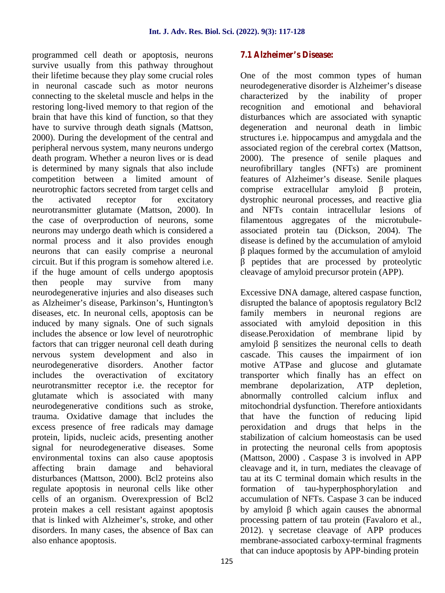programmed cell death or apoptosis, neurons survive usually from this pathway throughout their lifetime because they play some crucial roles in neuronal cascade such as motor neurons connecting to the skeletal muscle and helps in the restoring long-lived memory to that region of the brain that have this kind of function, so that they have to survive through death signals (Mattson, 2000). During the development of the central and peripheral nervous system, many neurons undergo death program. Whether a neuron lives or is dead is determined by many signals that also include competition between a limited amount of neurotrophic factors secreted from target cells and the activated receptor for excitatory neurotransmitter glutamate (Mattson, 2000). In the case of overproduction of neurons, some neurons may undergo death which is considered a normal process and it also provides enough neurons that can easily comprise a neuronal circuit. But if this program is somehow altered i.e. if the huge amount of cells undergo apoptosis then people may survive from many neurodegenerative injuries and also diseases such as Alzheimer's disease, Parkinson's, Huntington's diseases, etc. In neuronal cells, apoptosis can be induced by many signals. One of such signals includes the absence or low level of neurotrophic factors that can trigger neuronal cell death during nervous system development and also in neurodegenerative disorders. Another factor includes the overactivation of excitatory neurotransmitter receptor i.e. the receptor for glutamate which is associated with many neurodegenerative conditions such as stroke, trauma. Oxidative damage that includes the excess presence of free radicals may damage protein, lipids, nucleic acids, presenting another signal for neurodegenerative diseases. Some environmental toxins can also cause apoptosis affecting brain damage and behavioral disturbances (Mattson, 2000). Bcl2 proteins also regulate apoptosis in neuronal cells like other cells of an organism. Overexpression of Bcl2 protein makes a cell resistant against apoptosis that is linked with Alzheimer's, stroke, and other disorders. In many cases, the absence of Bax can 2012). also enhance apoptosis.

#### **7.1 Alzheimer's Disease:**

One of the most common types of human neurodegenerative disorder is Alzheimer's disease characterized by the inability of proper recognition and emotional and behavioral disturbances which are associated with synaptic degeneration and neuronal death in limbic structures i.e. hippocampus and amygdala and the associated region of the cerebral cortex (Mattson, 2000). The presence of senile plaques and neurofibrillary tangles (NFTs) are prominent features of Alzheimer's disease. Senile plaques comprise extracellular amyloid protein, dystrophic neuronal processes, and reactive glia and NFTs contain intracellular lesions of filamentous aggregates of the microtubule associated protein tau (Dickson, 2004). The disease is defined by the accumulation of amyloid plaques formed by the accumulation of amyloid β peptides that are processed by proteolytic

cleavage of amyloid precursor protein (APP).

Excessive DNA damage, altered caspase function, disrupted the balance of apoptosis regulatory Bcl2 family members in neuronal regions are associated with amyloid deposition in this disease.Peroxidation of membrane lipid by sensitizes the neuronal cells to death cascade. This causes the impairment of ion motive ATPase and glucose and glutamate transporter which finally has an effect on membrane depolarization, ATP depletion, abnormally controlled calcium influx and mitochondrial dysfunction. Therefore antioxidants that have the function of reducing lipid peroxidation and drugs that helps in the stabilization of calcium homeostasis can be used in protecting the neuronal cells from apoptosis (Mattson, 2000) . Caspase 3 is involved in APP cleavage and it, in turn, mediates the cleavage of tau at its C terminal domain which results in the formation of tau-hyperphosphorylation and accumulation of NFTs. Caspase 3 can be induced by amyloid which again causes the abnormal processing pattern of tau protein (Favaloro et al., secretase cleavage of APP produces membrane-associated carboxy-terminal fragments that can induce apoptosis by APP-binding protein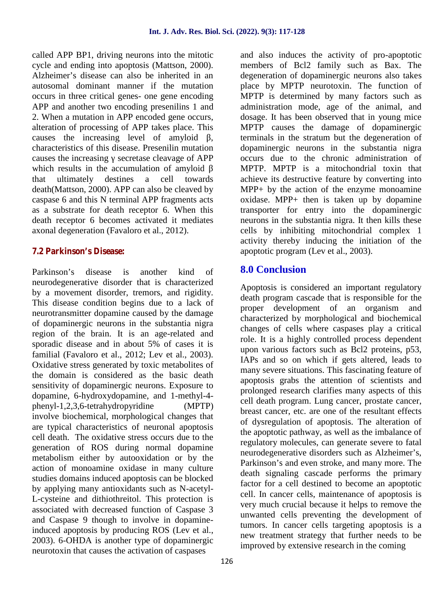called APP BP1, driving neurons into the mitotic cycle and ending into apoptosis (Mattson, 2000). Alzheimer's disease can also be inherited in an autosomal dominant manner if the mutation occurs in three critical genes- one gene encoding APP and another two encoding presenilins 1 and 2. When a mutation in APP encoded gene occurs, alteration of processing of APP takes place. This causes the increasing level of amyloid characteristics of this disease. Presenilin mutation causes the increasing secretase cleavage of APP which results in the accumulation of amyloid that ultimately destines a cell towards death(Mattson, 2000). APP can also be cleaved by caspase 6 and this N terminal APP fragments acts as a substrate for death receptor 6. When this death receptor 6 becomes activated it mediates axonal degeneration (Favaloro et al., 2012).

#### **7.2 Parkinson's Disease:**

Parkinson's disease is another kind of neurodegenerative disorder that is characterized by a movement disorder, tremors, and rigidity. This disease condition begins due to a lack of neurotransmitter dopamine caused by the damage of dopaminergic neurons in the substantia nigra region of the brain. It is an age-related and sporadic disease and in about 5% of cases it is familial (Favaloro et al., 2012; Lev et al., 2003). Oxidative stress generated by toxic metabolites of the domain is considered as the basic death sensitivity of dopaminergic neurons. Exposure to dopamine, 6-hydroxydopamine, and 1-methyl-4 phenyl-1,2,3,6-tetrahydropyridine (MPTP) involve biochemical, morphological changes that are typical characteristics of neuronal apoptosis cell death. The oxidative stress occurs due to the generation of ROS during normal dopamine metabolism either by autooxidation or by the action of monoamine oxidase in many culture studies domains induced apoptosis can be blocked by applying many antioxidants such as N-acetyl- L-cysteine and dithiothreitol. This protection is associated with decreased function of Caspase 3 and Caspase 9 though to involve in dopamineinduced apoptosis by producing ROS (Lev et al., 2003). 6-OHDA is another type of dopaminergic neurotoxin that causes the activation of caspases

and also induces the activity of pro-apoptotic members of Bcl2 family such as Bax. The degeneration of dopaminergic neurons also takes place by MPTP neurotoxin. The function of MPTP is determined by many factors such as administration mode, age of the animal, and dosage. It has been observed that in young mice MPTP causes the damage of dopaminergic terminals in the stratum but the degeneration of dopaminergic neurons in the substantia nigra occurs due to the chronic administration of MPTP. MPTP is a mitochondrial toxin that achieve its destructive feature by converting into MPP+ by the action of the enzyme monoamine oxidase. MPP+ then is taken up by dopamine transporter for entry into the dopaminergic neurons in the substantia nigra. It then kills these cells by inhibiting mitochondrial complex 1 activity thereby inducing the initiation of the apoptotic program (Lev et al., 2003).

# **8.0 Conclusion**

Apoptosis is considered an important regulatory death program cascade that is responsible for the proper development of an organism and characterized by morphological and biochemical changes of cells where caspases play a critical role. It is a highly controlled process dependent upon various factors such as Bcl2 proteins, p53, IAPs and so on which if gets altered, leads to many severe situations. This fascinating feature of apoptosis grabs the attention of scientists and prolonged research clarifies many aspects of this cell death program. Lung cancer, prostate cancer, breast cancer, etc. are one of the resultant effects of dysregulation of apoptosis. The alteration of the apoptotic pathway, as well as the imbalance of regulatory molecules, can generate severe to fatal neurodegenerative disorders such as Alzheimer's, Parkinson's and even stroke, and many more. The death signaling cascade performs the primary factor for a cell destined to become an apoptotic cell. In cancer cells, maintenance of apoptosis is very much crucial because it helps to remove the unwanted cells preventing the development of tumors. In cancer cells targeting apoptosis is a new treatment strategy that further needs to be improved by extensive research in the coming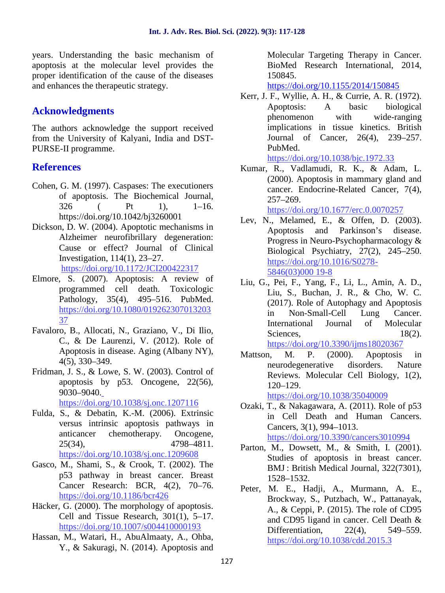years. Understanding the basic mechanism of apoptosis at the molecular level provides the proper identification of the cause of the diseases and enhances the therapeutic strategy.

# **Acknowledgments**

The authors acknowledge the support received from the University of Kalyani, India and DST- PURSE-II programme.

## **References**

- Cohen, G. M. (1997). Caspases: The executioners of apoptosis. The Biochemical Journal, 326 ( Pt 1), 1–16. https://doi.org/10.1042/bj3260001
- Dickson, D. W. (2004). Apoptotic mechanisms in Alzheimer neurofibrillary degeneration: Cause or effect? Journal of Clinical Investigation, 114(1), 23–27. https://doi.org/10.1172/JCI200422317
- Elmore, S. (2007). Apoptosis: A review of programmed cell death. Toxicologic Pathology, 35(4), 495–516. PubMed. https://doi.org/10.1080/019262307013203 37
- Favaloro, B., Allocati, N., Graziano, V., Di Ilio, C., & De Laurenzi, V. (2012). Role of Apoptosis in disease. Aging (Albany NY), 4(5), 330–349.
- Fridman, J. S., & Lowe, S. W. (2003). Control of apoptosis by p53. Oncogene, 22(56), 9030–9040. https://doi.org/10.1038/sj.onc.1207116
- Fulda, S., & Debatin, K.-M. (2006). Extrinsic versus intrinsic apoptosis pathways in anticancer chemotherapy. Oncogene, 25(34), 4798–4811. https://doi.org/10.1038/sj.onc.1209608
- Gasco, M., Shami, S., & Crook, T. (2002). The p53 pathway in breast cancer. Breast Cancer Research: BCR, 4(2), 70–76. https://doi.org/10.1186/bcr426
- Häcker, G. (2000). The morphology of apoptosis. Cell and Tissue Research, 301(1), 5–17. https://doi.org/10.1007/s004410000193
- Hassan, M., Watari, H., AbuAlmaaty, A., Ohba, Y., & Sakuragi, N. (2014). Apoptosis and

Molecular Targeting Therapy in Cancer. BioMed Research International, 2014, 150845.

https://doi.org/10.1155/2014/150845

Kerr, J. F., Wyllie, A. H., & Currie, A. R. (1972). Apoptosis: A basic biological phenomenon with wide-ranging implications in tissue kinetics. British Journal of Cancer, 26(4), 239–257. PubMed.

https://doi.org/10.1038/bjc.1972.33

Kumar, R., Vadlamudi, R. K., & Adam, L. (2000). Apoptosis in mammary gland and cancer. Endocrine-Related Cancer, 7(4), 257–269.

https://doi.org/10.1677/erc.0.0070257

- Lev, N., Melamed, E., & Offen, D. (2003). Apoptosis and Parkinson's disease. Progress in Neuro-Psychopharmacology & Biological Psychiatry, 27(2), 245–250. https://doi.org/10.1016/S0278- 5846(03)000 19-8
- Liu, G., Pei, F., Yang, F., Li, L., Amin, A. D., Liu, S., Buchan, J. R., & Cho, W. C. (2017). Role of Autophagy and Apoptosis in Non-Small-Cell Lung Cancer. International Journal of Molecular Sciences, 18(2). https://doi.org/10.3390/ijms18020367
- Mattson, M. P. (2000). Apoptosis in neurodegenerative disorders. Nature Reviews. Molecular Cell Biology, 1(2), 120–129.

https://doi.org/10.1038/35040009

- Ozaki, T., & Nakagawara, A. (2011). Role of p53 in Cell Death and Human Cancers. Cancers, 3(1), 994–1013. https://doi.org/10.3390/cancers3010994
- Parton, M., Dowsett, M., & Smith, I. (2001). Studies of apoptosis in breast cancer. BMJ : British Medical Journal, 322(7301), 1528–1532.
- Peter, M. E., Hadji, A., Murmann, A. E., Brockway, S., Putzbach, W., Pattanayak, A., & Ceppi, P. (2015). The role of CD95 and CD95 ligand in cancer. Cell Death & Differentiation, 22(4), 549–559. https://doi.org/10.1038/cdd.2015.3